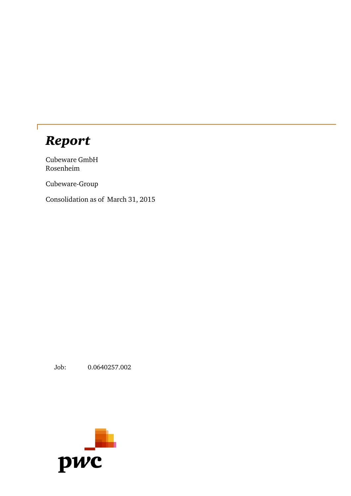# *Report*

Г

Cubeware GmbH Rosenheim

Cubeware-Group

Consolidation as of March 31, 2015

Job: 0.0640257.002

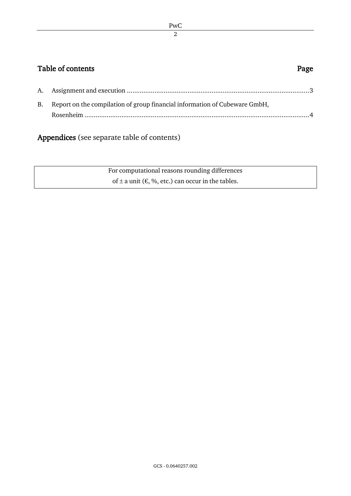#### PwC 2

## Table of contents **Page**

| B. Report on the compilation of group financial information of Cubeware GmbH, |
|-------------------------------------------------------------------------------|
|                                                                               |

# Appendices (see separate table of contents)

For computational reasons rounding differences of  $\pm$  a unit ( $\epsilon$ , %, etc.) can occur in the tables.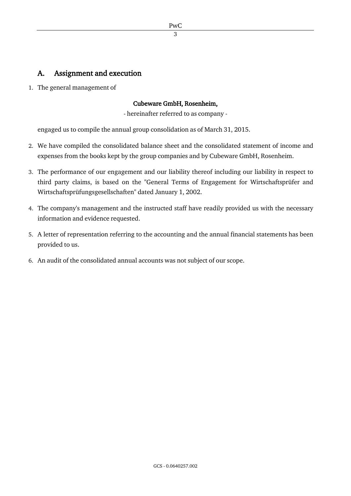## A. Assignment and execution

1. The general management of

#### Cubeware GmbH, Rosenheim,

- hereinafter referred to as company -

engaged us to compile the annual group consolidation as of March 31, 2015.

- 2. We have compiled the consolidated balance sheet and the consolidated statement of income and expenses from the books kept by the group companies and by Cubeware GmbH, Rosenheim.
- 3. The performance of our engagement and our liability thereof including our liability in respect to third party claims, is based on the "General Terms of Engagement for Wirtschaftsprüfer and Wirtschaftsprüfungsgesellschaften" dated January 1, 2002.
- 4. The company's management and the instructed staff have readily provided us with the necessary information and evidence requested.
- 5. A letter of representation referring to the accounting and the annual financial statements has been provided to us.
- 6. An audit of the consolidated annual accounts was not subject of our scope.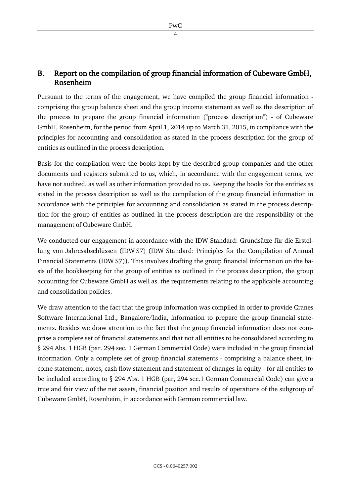4

#### B. Report on the compilation of group financial information of Cubeware GmbH, Rosenheim

Pursuant to the terms of the engagement, we have compiled the group financial information comprising the group balance sheet and the group income statement as well as the description of the process to prepare the group financial information ("process description") - of Cubeware GmbH, Rosenheim, for the period from April 1, 2014 up to March 31, 2015, in compliance with the principles for accounting and consolidation as stated in the process description for the group of entities as outlined in the process description.

Basis for the compilation were the books kept by the described group companies and the other documents and registers submitted to us, which, in accordance with the engagement terms, we have not audited, as well as other information provided to us. Keeping the books for the entities as stated in the process description as well as the compilation of the group financial information in accordance with the principles for accounting and consolidation as stated in the process description for the group of entities as outlined in the process description are the responsibility of the management of Cubeware GmbH.

We conducted our engagement in accordance with the IDW Standard: Grundsätze für die Erstellung von Jahresabschlüssen (IDW S7) (IDW Standard: Principles for the Compilation of Annual Financial Statements (IDW S7)). This involves drafting the group financial information on the basis of the bookkeeping for the group of entities as outlined in the process description, the group accounting for Cubeware GmbH as well as the requirements relating to the applicable accounting and consolidation policies.

We draw attention to the fact that the group information was compiled in order to provide Cranes Software International Ltd., Bangalore/India, information to prepare the group financial statements. Besides we draw attention to the fact that the group financial information does not comprise a complete set of financial statements and that not all entities to be consolidated according to § 294 Abs. 1 HGB (par. 294 sec. 1 German Commercial Code) were included in the group financial information. Only a complete set of group financial statements - comprising a balance sheet, income statement, notes, cash flow statement and statement of changes in equity - for all entities to be included according to § 294 Abs. 1 HGB (par, 294 sec.1 German Commercial Code) can give a true and fair view of the net assets, financial position and results of operations of the subgroup of Cubeware GmbH, Rosenheim, in accordance with German commercial law.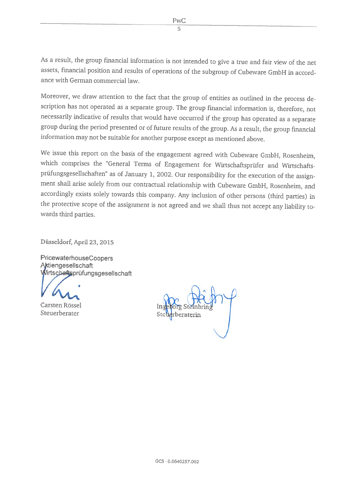As <sup>a</sup> result, the group financial information is not intended to <sup>g</sup>ive <sup>a</sup> true and fair view of the net assets, financial position and results of operations of the subgroup of Cubeware GmbH in accordance with German commercial law.

Moreover, we draw attention to the fact that the group of entities as outlined in the process de scription has not operated as a separate group. The group financial information is, therefore, not necessarily indicative of resuits that would have occurred if the group has operated as <sup>a</sup> separate group during the period presented or of future resuits of the group. As <sup>a</sup> result, the group financial information may not be suitable for another purpose except as mentioned above.

We issue this report on the basis of the engagement agreed with Cubeware GmbH, Rosenheim, which comprises the 'General Terms of Engagement for Wirtschaftsprüfer and Wirtschafts prüfungsgesellschaften" as of January 1, 2002. Our responsibility for the execution of the assign ment shall arise solely from our contractual relationship with Cubeware GmbH, Rosenheim, and accordingly exists solely towards this company. Any inclusion of other persons (third parties) in the protective scope of the assignment is not agreed and we shall thus not accept any liabiity to wards third parties.

Düsseldorf, April 23, 2015

PricewaterhouseCoopers Aktiengesellschaft Wirtschaftsprüfungsgesellschaft

Carsten Rössel In <sup>o</sup> <sup>g</sup> SIn Steuerberater Stet\\$rberaterin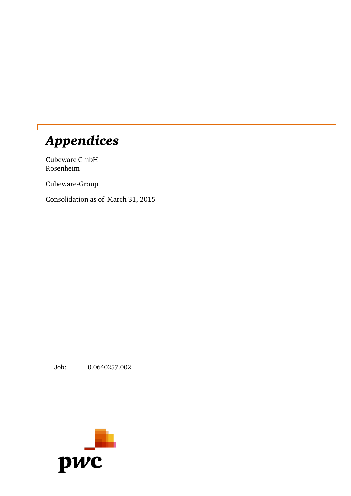# *Appendices*

Cubeware GmbH Rosenheim

Cubeware-Group

Consolidation as of March 31, 2015

Job: 0.0640257.002

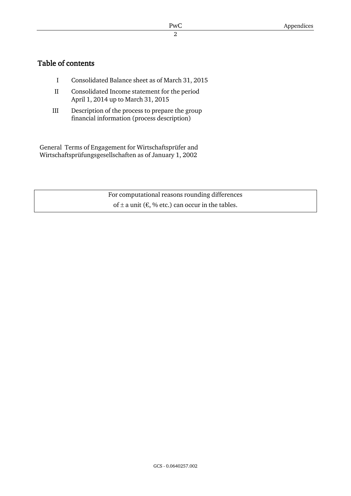### Table of contents

- I Consolidated Balance sheet as of March 31, 2015
- II Consolidated Income statement for the period April 1, 2014 up to March 31, 2015
- III Description of the process to prepare the group financial information (process description)

General Terms of Engagement for Wirtschaftsprüfer and Wirtschaftsprüfungsgesellschaften as of January 1, 2002

> For computational reasons rounding differences of  $\pm$  a unit ( $\epsilon$ , % etc.) can occur in the tables.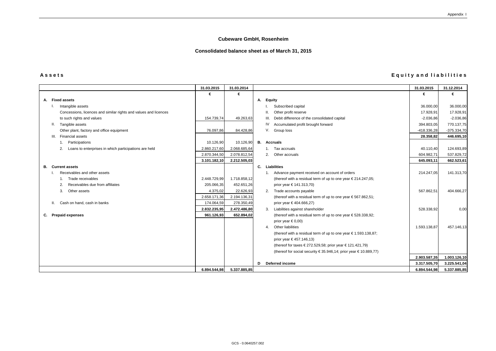| Assets | <b>Equity and liabilities</b> |
|--------|-------------------------------|
|--------|-------------------------------|

|                                                                  | 31.03.2015   | 31.03.2014   |   |                                                                          | 31.03.2015   | 31.12.2014    |
|------------------------------------------------------------------|--------------|--------------|---|--------------------------------------------------------------------------|--------------|---------------|
|                                                                  | €            | €            |   |                                                                          | €            | €             |
| A. Fixed assets                                                  |              |              |   | A. Equity                                                                |              |               |
| Intangible assets                                                |              |              |   | Subscribed capital                                                       | 36.000,00    | 36.000,00     |
| Concessions, licences and similar rights and values and licences |              |              |   | Other profit reserve                                                     | 17.928,91    | 17.928,91     |
| to such rights and values                                        | 154.739,74   | 49.263,63    |   | III. Debit difference of the consolidated capital                        | $-2.036,86$  | $-2.036,86$   |
| Tangible assets                                                  |              |              |   | Accumulated profit brought forward                                       | 394.803,05   | 770.137,75    |
| Other plant, factory and office equipment                        | 76.097,86    | 84.428,86    |   | V. Group loss                                                            | -418.336,28  | $-375.334,70$ |
| III. Financial assets                                            |              |              |   |                                                                          | 28.358,82    | 446.695,10    |
| Participations                                                   | 10.126,90    | 10.126,90    |   | <b>B.</b> Accruals                                                       |              |               |
| Loans to enterprises in which participations are held            | 2.860.217,60 | 2.068.685,64 |   | 1. Tax accruals                                                          | 40.110,40    | 124.693,89    |
|                                                                  | 2.870.344,50 | 2.078.812,54 |   | 2. Other accruals                                                        | 604.982,71   | 537.829,72    |
|                                                                  | 3.101.182,10 | 2.212.505,03 |   |                                                                          | 645.093,11   | 662.523,61    |
| <b>Current assets</b><br>В.                                      |              |              |   | C. Liabilities                                                           |              |               |
| Receivables and other assets                                     |              |              |   | 1. Advance payment received on account of orders                         | 214.247,05   | 141.313,70    |
| Trade receivables                                                | 2.448.729,99 | 1.718.858,12 |   | (thereof with a residual term of up to one year €214.247,05;             |              |               |
| Receivables due from affiliates<br>2.                            | 205.066,35   | 452.651,26   |   | prior year € 141.313,70)                                                 |              |               |
| Other assets<br>3.                                               | 4.375,02     | 22.626,93    |   | 2. Trade accounts payable                                                | 567.862,51   | 404.666,27    |
|                                                                  | 2.658.171,36 | 2.194.136,31 |   | (thereof with a residual term of up to one year €567.862,51;             |              |               |
| II. Cash on hand, cash in banks                                  | 174.064,59   | 278.350,49   |   | prior year €404.666,27)                                                  |              |               |
|                                                                  | 2.832.235,95 | 2.472.486,80 |   | 3. Liabilities against shareholder                                       | 528.338,92   | 0,00          |
| <b>Prepaid expenses</b><br>C.                                    | 961.126,93   | 652.894,02   |   | (thereof with a residual term of up to one year €528.338,92;             |              |               |
|                                                                  |              |              |   | prior year $\in$ 0,00)                                                   |              |               |
|                                                                  |              |              |   | 4. Other liabilities                                                     | 1.593.138,87 | 457.146,13    |
|                                                                  |              |              |   | (thereof with a residual term of up to one year $\epsilon$ 1.593.138,87; |              |               |
|                                                                  |              |              |   | prior year €457.146,13)                                                  |              |               |
|                                                                  |              |              |   | (thereof for taxes €272.529,58; prior year €121.421,79)                  |              |               |
|                                                                  |              |              |   | (thereof for social security €35.946,14; prior year €10.889,77)          |              |               |
|                                                                  |              |              |   |                                                                          | 2.903.587,35 | 1.003.126,10  |
|                                                                  |              |              | D | Deferred income                                                          | 3.317.505,70 | 3.225.541,04  |
|                                                                  | 6.894.544,98 | 5.337.885,85 |   |                                                                          | 6.894.544,98 | 5.337.885,85  |

#### **Cubeware GmbH, Rosenheim**

#### **Consolidated balance sheet as of March 31, 2015**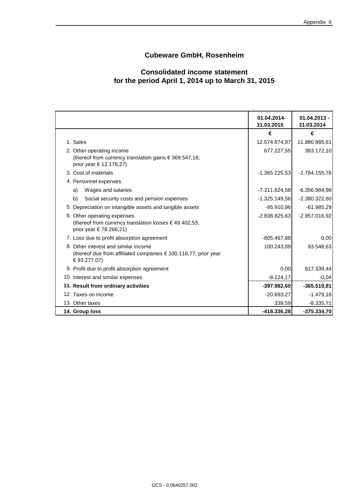#### **Cubeware GmbH, Rosenheim**

### **Consolidated income statement for the period April 1, 2014 up to March 31, 2015**

|                                                                                  | 01.04.2014-<br>31.03.2015 | $01.04.2013 -$<br>31.03.2014 |
|----------------------------------------------------------------------------------|---------------------------|------------------------------|
|                                                                                  | €                         | €                            |
| 1. Sales                                                                         | 12.574.874,97             | 11.880.885,61                |
| 2. Other operating income                                                        | 677.227,55                | 383.172,10                   |
| (thereof from currency translation gains €369.547,18;<br>prior year € 12.178,27) |                           |                              |
| 3. Cost of materials                                                             | $-1.365.225,53$           | $-1.784.155,76$              |
| 4. Personnel expenses                                                            |                           |                              |
| Wages and salaries<br>a)                                                         | $-7.311.624,58$           | $-6.356.984,98$              |
| b)<br>Social security costs and pension expenses                                 | $-1.325.149,56$           | $-2.380.322,60$              |
| 5. Depreciation on intangible assets and tangible assets                         | $-95.910,86$              | $-61.985,29$                 |
| 6. Other operating expenses                                                      | $-2.838.825,63$           | $-2.957.016,92$              |
| (thereof from currency translation losses €49.402,53;<br>prior year €78.266,21)  |                           |                              |
| 7. Loss due to profit absorption agreement                                       | $-805.467.88$             | 0,00                         |
| 8. Other interest and similar income                                             | 100.243,09                | 93.548,63                    |
| (thereof due from affiliated companies € 100.116,77; prior year<br>€93.277,07)   |                           |                              |
| 9. Profit due to profit absorption agreement                                     | 0,00                      | 817.339,44                   |
| 10. Interest and similar expenses                                                | $-8.124, 17$              | $-0,04$                      |
| 11. Result from ordinary activities                                              | $-397.982,60$             | $-365.519,81$                |
| 12. Taxes on income                                                              | $-20.693,27$              | $-1.479,18$                  |
| 13. Other taxes                                                                  | 339,59                    | $-8.335,71$                  |
| 14. Group loss                                                                   | $-418.336,28$             | $-375.334,70$                |